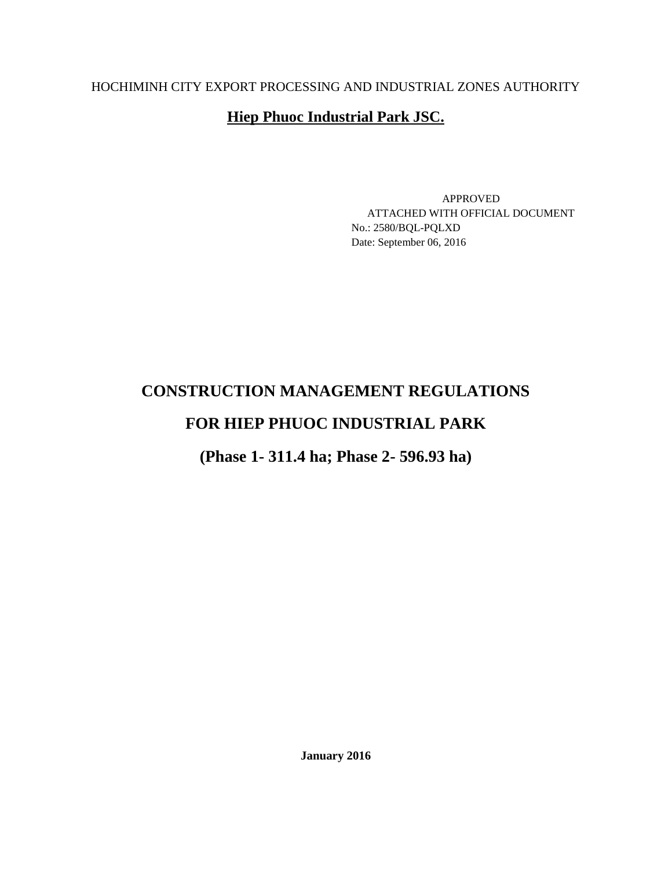## HOCHIMINH CITY EXPORT PROCESSING AND INDUSTRIAL ZONES AUTHORITY

## **Hiep Phuoc Industrial Park JSC.**

APPROVED ATTACHED WITH OFFICIAL DOCUMENT No.: 2580/BQL-PQLXD Date: September 06, 2016

# **CONSTRUCTION MANAGEMENT REGULATIONS**

# **FOR HIEP PHUOC INDUSTRIAL PARK**

**(Phase 1- 311.4 ha; Phase 2- 596.93 ha)**

**January 2016**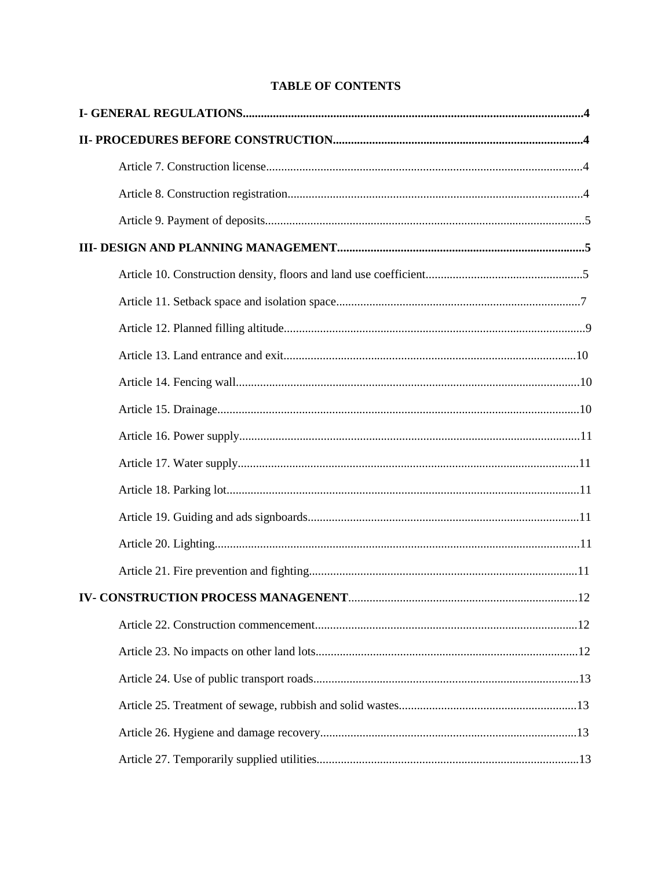## **TABLE OF CONTENTS**

| 12 |
|----|
|    |
|    |
|    |
|    |
|    |
|    |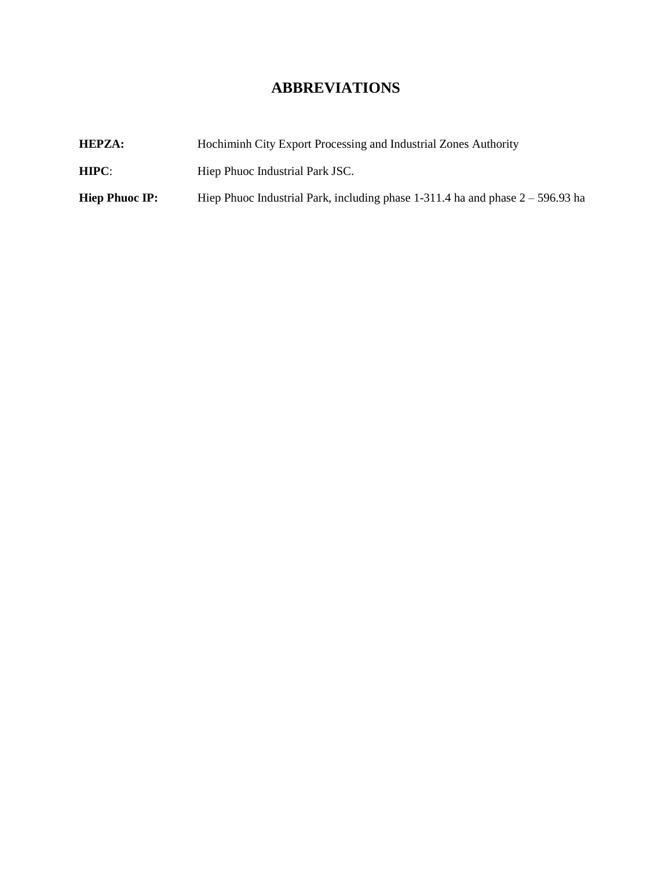## **ABBREVIATIONS**

| <b>HEPZA:</b>         | Hochiminh City Export Processing and Industrial Zones Authority                  |  |  |
|-----------------------|----------------------------------------------------------------------------------|--|--|
| HIPC:                 | Hiep Phuoc Industrial Park JSC.                                                  |  |  |
| <b>Hiep Phuoc IP:</b> | Hiep Phuoc Industrial Park, including phase $1-311.4$ ha and phase $2-596.93$ ha |  |  |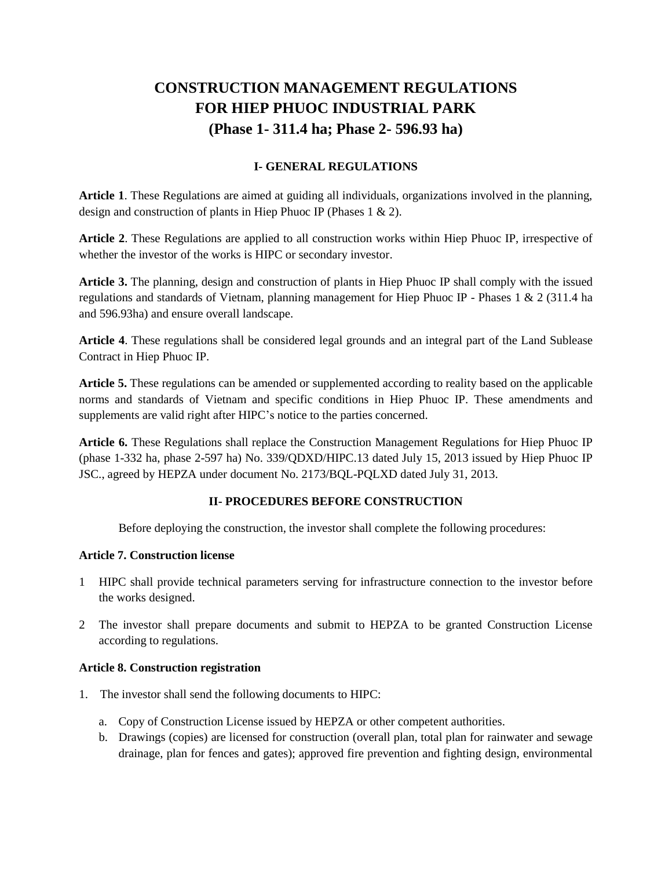# **CONSTRUCTION MANAGEMENT REGULATIONS FOR HIEP PHUOC INDUSTRIAL PARK (Phase 1- 311.4 ha; Phase 2- 596.93 ha)**

## **I- GENERAL REGULATIONS**

**Article 1**. These Regulations are aimed at guiding all individuals, organizations involved in the planning, design and construction of plants in Hiep Phuoc IP (Phases 1 & 2).

**Article 2**. These Regulations are applied to all construction works within Hiep Phuoc IP, irrespective of whether the investor of the works is HIPC or secondary investor.

**Article 3.** The planning, design and construction of plants in Hiep Phuoc IP shall comply with the issued regulations and standards of Vietnam, planning management for Hiep Phuoc IP - Phases 1 & 2 (311.4 ha and 596.93ha) and ensure overall landscape.

**Article 4**. These regulations shall be considered legal grounds and an integral part of the Land Sublease Contract in Hiep Phuoc IP.

**Article 5.** These regulations can be amended or supplemented according to reality based on the applicable norms and standards of Vietnam and specific conditions in Hiep Phuoc IP. These amendments and supplements are valid right after HIPC's notice to the parties concerned.

**Article 6.** These Regulations shall replace the Construction Management Regulations for Hiep Phuoc IP (phase 1-332 ha, phase 2-597 ha) No. 339/QDXD/HIPC.13 dated July 15, 2013 issued by Hiep Phuoc IP JSC., agreed by HEPZA under document No. 2173/BQL-PQLXD dated July 31, 2013.

## **II- PROCEDURES BEFORE CONSTRUCTION**

Before deploying the construction, the investor shall complete the following procedures:

### **Article 7. Construction license**

- 1 HIPC shall provide technical parameters serving for infrastructure connection to the investor before the works designed.
- 2 The investor shall prepare documents and submit to HEPZA to be granted Construction License according to regulations.

### **Article 8. Construction registration**

- 1. The investor shall send the following documents to HIPC:
	- a. Copy of Construction License issued by HEPZA or other competent authorities.
	- b. Drawings (copies) are licensed for construction (overall plan, total plan for rainwater and sewage drainage, plan for fences and gates); approved fire prevention and fighting design, environmental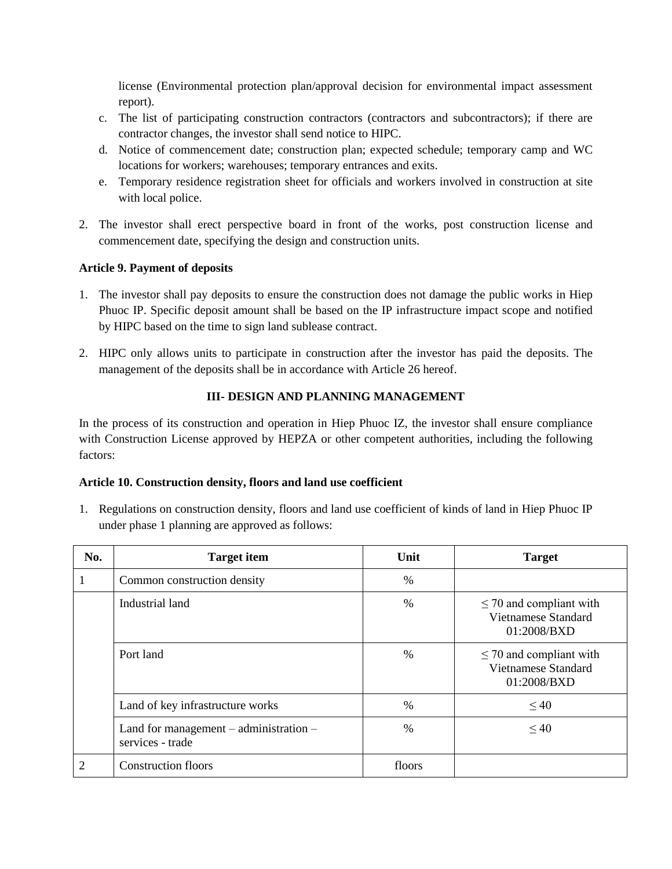license (Environmental protection plan/approval decision for environmental impact assessment report).

- c. The list of participating construction contractors (contractors and subcontractors); if there are contractor changes, the investor shall send notice to HIPC.
- d. Notice of commencement date; construction plan; expected schedule; temporary camp and WC locations for workers; warehouses; temporary entrances and exits.
- e. Temporary residence registration sheet for officials and workers involved in construction at site with local police.
- 2. The investor shall erect perspective board in front of the works, post construction license and commencement date, specifying the design and construction units.

## **Article 9. Payment of deposits**

- 1. The investor shall pay deposits to ensure the construction does not damage the public works in Hiep Phuoc IP. Specific deposit amount shall be based on the IP infrastructure impact scope and notified by HIPC based on the time to sign land sublease contract.
- 2. HIPC only allows units to participate in construction after the investor has paid the deposits. The management of the deposits shall be in accordance with Article 26 hereof.

## **III- DESIGN AND PLANNING MANAGEMENT**

In the process of its construction and operation in Hiep Phuoc IZ, the investor shall ensure compliance with Construction License approved by HEPZA or other competent authorities, including the following factors:

### **Article 10. Construction density, floors and land use coefficient**

1. Regulations on construction density, floors and land use coefficient of kinds of land in Hiep Phuoc IP under phase 1 planning are approved as follows:

| No.            | <b>Target item</b>                                             | Unit   | <b>Target</b>                                                      |
|----------------|----------------------------------------------------------------|--------|--------------------------------------------------------------------|
|                | Common construction density                                    | $\%$   |                                                                    |
|                | Industrial land                                                | $\%$   | $\leq$ 70 and compliant with<br>Vietnamese Standard<br>01:2008/BXD |
|                | Port land                                                      | $\%$   | $\leq$ 70 and compliant with<br>Vietnamese Standard<br>01:2008/BXD |
|                | Land of key infrastructure works                               | $\%$   | $\leq 40$                                                          |
|                | Land for management $-$ administration $-$<br>services - trade | $\%$   | $\leq 40$                                                          |
| $\overline{2}$ | <b>Construction floors</b>                                     | floors |                                                                    |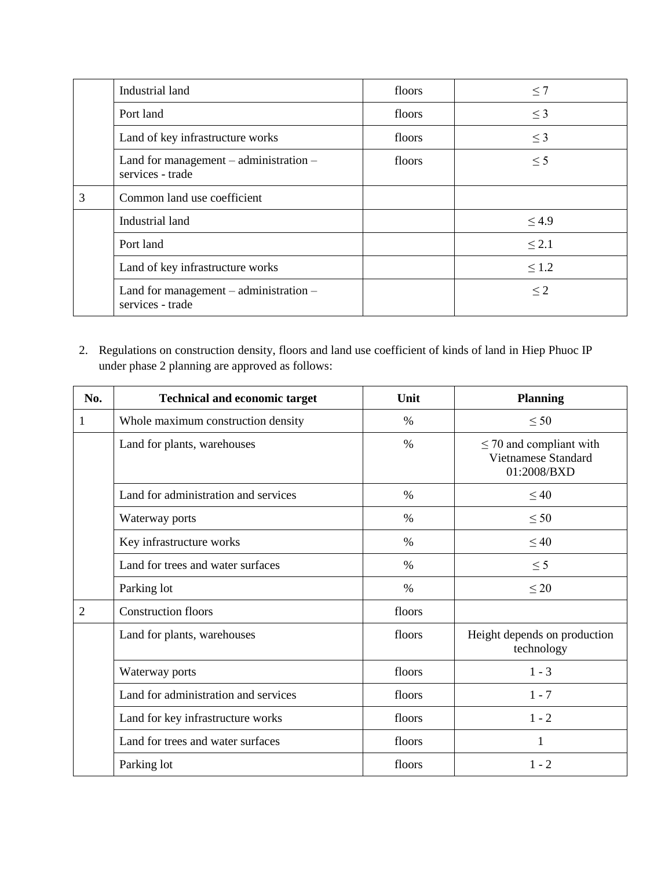|   | Industrial land                                                | floors | $\leq 7$   |
|---|----------------------------------------------------------------|--------|------------|
|   | Port land                                                      | floors | $\leq$ 3   |
|   | Land of key infrastructure works                               | floors | $\leq$ 3   |
|   | Land for management $-$ administration $-$<br>services - trade | floors | $\leq$ 5   |
| 3 | Common land use coefficient                                    |        |            |
|   | Industrial land                                                |        | $\leq 4.9$ |
|   | Port land                                                      |        | $\leq 2.1$ |
|   | Land of key infrastructure works                               |        | $\leq 1.2$ |
|   | Land for management $-$ administration $-$<br>services - trade |        | $\leq$ 2   |

2. Regulations on construction density, floors and land use coefficient of kinds of land in Hiep Phuoc IP under phase 2 planning are approved as follows:

| No.            | <b>Technical and economic target</b> | Unit   | <b>Planning</b>                                                    |
|----------------|--------------------------------------|--------|--------------------------------------------------------------------|
| 1              | Whole maximum construction density   | $\%$   | $\leq 50$                                                          |
|                | Land for plants, warehouses          | $\%$   | $\leq$ 70 and compliant with<br>Vietnamese Standard<br>01:2008/BXD |
|                | Land for administration and services | $\%$   | $\leq 40$                                                          |
|                | Waterway ports                       | $\%$   | $\leq 50$                                                          |
|                | Key infrastructure works             | $\%$   | $\leq 40$                                                          |
|                | Land for trees and water surfaces    | $\%$   | $\leq$ 5                                                           |
|                | Parking lot                          | $\%$   | $\leq 20$                                                          |
| $\overline{2}$ | <b>Construction floors</b>           | floors |                                                                    |
|                | Land for plants, warehouses          | floors | Height depends on production<br>technology                         |
|                | Waterway ports                       | floors | $1 - 3$                                                            |
|                | Land for administration and services | floors | $1 - 7$                                                            |
|                | Land for key infrastructure works    | floors | $1 - 2$                                                            |
|                | Land for trees and water surfaces    | floors | 1                                                                  |
|                | Parking lot                          | floors | $1 - 2$                                                            |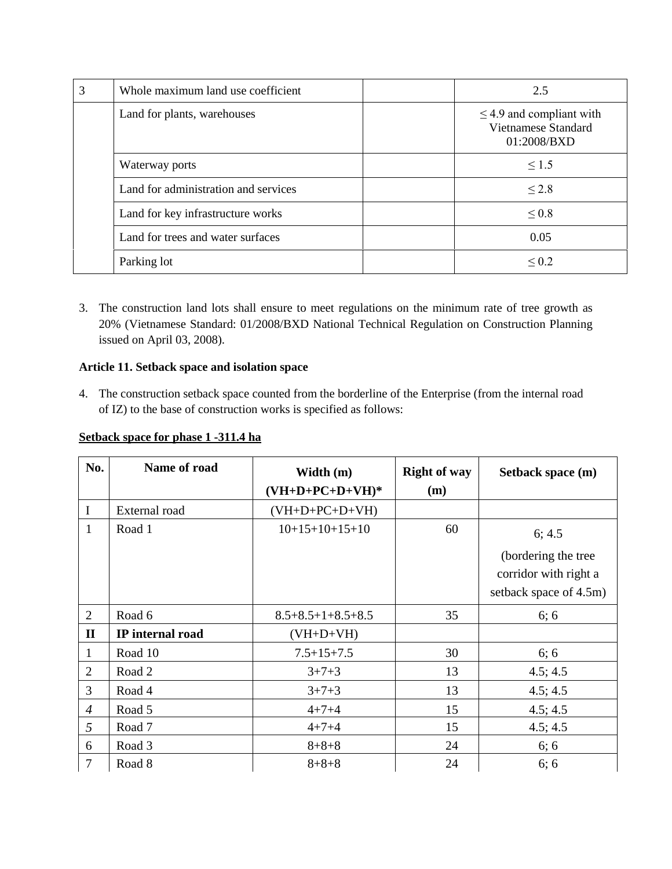| 3              | Whole maximum land use coefficient   |  | 2.5                                                                 |  |
|----------------|--------------------------------------|--|---------------------------------------------------------------------|--|
|                | Land for plants, warehouses          |  | $\leq$ 4.9 and compliant with<br>Vietnamese Standard<br>01:2008/BXD |  |
| Waterway ports |                                      |  | $\leq 1.5$                                                          |  |
|                | Land for administration and services |  | $\leq$ 2.8                                                          |  |
|                | Land for key infrastructure works    |  | $\leq 0.8$                                                          |  |
|                | Land for trees and water surfaces    |  | 0.05                                                                |  |
|                | Parking lot                          |  | $\leq 0.2$                                                          |  |

3. The construction land lots shall ensure to meet regulations on the minimum rate of tree growth as 20% (Vietnamese Standard: 01/2008/BXD National Technical Regulation on Construction Planning issued on April 03, 2008).

## **Article 11. Setback space and isolation space**

4. The construction setback space counted from the borderline of the Enterprise (from the internal road of IZ) to the base of construction works is specified as follows:

### **Setback space for phase 1 -311.4 ha**

| No.            | Name of road     | Width (m)<br>$(VH+D+PC+D+VH)*$ | <b>Right of way</b><br>(m) | Setback space (m)      |
|----------------|------------------|--------------------------------|----------------------------|------------------------|
|                |                  |                                |                            |                        |
| $\bf{I}$       | External road    | $(VH+D+PC+D+VH)$               |                            |                        |
| $\mathbf{1}$   | Road 1           | $10+15+10+15+10$               | 60                         | 6; 4.5                 |
|                |                  |                                |                            | (bordering the tree    |
|                |                  |                                |                            | corridor with right a  |
|                |                  |                                |                            | setback space of 4.5m) |
| 2              | Road 6           | $8.5 + 8.5 + 1 + 8.5 + 8.5$    | 35                         | 6; 6                   |
| $\mathbf{I}$   | IP internal road | $(VH+D+VH)$                    |                            |                        |
| 1              | Road 10          | $7.5 + 15 + 7.5$               | 30                         | 6; 6                   |
| 2              | Road 2           | $3+7+3$                        | 13                         | 4.5; 4.5               |
| 3              | Road 4           | $3+7+3$                        | 13                         | 4.5; 4.5               |
| $\overline{4}$ | Road 5           | $4 + 7 + 4$                    | 15                         | 4.5; 4.5               |
| 5              | Road 7           | $4 + 7 + 4$                    | 15                         | 4.5; 4.5               |
| 6              | Road 3           | $8 + 8 + 8$                    | 24                         | 6; 6                   |
| $\overline{7}$ | Road 8           | $8 + 8 + 8$                    | 24                         | 6; 6                   |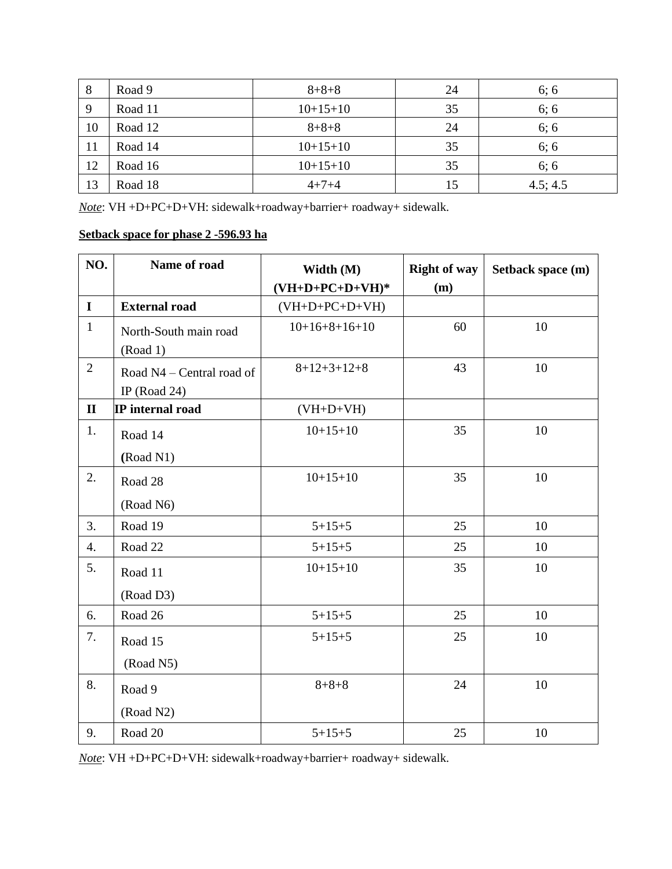| 8  | Road 9  | $8 + 8 + 8$ | 24 | 6; 6     |
|----|---------|-------------|----|----------|
| 9  | Road 11 | $10+15+10$  | 35 | 6; 6     |
| 10 | Road 12 | $8 + 8 + 8$ | 24 | 6; 6     |
| 11 | Road 14 | $10+15+10$  | 35 | 6; 6     |
| 12 | Road 16 | $10+15+10$  | 35 | 6; 6     |
| 13 | Road 18 | $4 + 7 + 4$ | 15 | 4.5; 4.5 |

*Note*: VH +D+PC+D+VH: sidewalk+roadway+barrier+ roadway+ sidewalk.

## **Setback space for phase 2 -596.93 ha**

| NO.            | Name of road              | Width (M)         | <b>Right of way</b> | Setback space (m) |
|----------------|---------------------------|-------------------|---------------------|-------------------|
|                |                           | $(VH+D+PC+D+VH)*$ | (m)                 |                   |
| $\bf{I}$       | <b>External road</b>      | $(VH+D+PC+D+VH)$  |                     |                   |
| $\mathbf{1}$   | North-South main road     | $10+16+8+16+10$   | 60                  | 10                |
|                | (Road 1)                  |                   |                     |                   |
| $\overline{2}$ | Road N4 – Central road of | $8+12+3+12+8$     | 43                  | 10                |
|                | IP (Road 24)              |                   |                     |                   |
| $\mathbf{I}$   | IP internal road          | $(VH+D+VH)$       |                     |                   |
| 1.             | Road 14                   | $10+15+10$        | 35                  | 10                |
|                | (Road N1)                 |                   |                     |                   |
| 2.             | Road 28                   | $10+15+10$        | 35                  | 10                |
|                | (Road N6)                 |                   |                     |                   |
| 3.             | Road 19                   | $5 + 15 + 5$      | 25                  | 10                |
| 4.             | Road 22                   | $5 + 15 + 5$      | 25                  | 10                |
| 5.             | Road 11                   | $10+15+10$        | 35                  | 10                |
|                | (Road D3)                 |                   |                     |                   |
| 6.             | Road 26                   | $5 + 15 + 5$      | 25                  | 10                |
| 7.             | Road 15                   | $5 + 15 + 5$      | 25                  | 10                |
|                | (Road N5)                 |                   |                     |                   |
| 8.             | Road 9                    | $8 + 8 + 8$       | 24                  | 10                |
|                | (Road N2)                 |                   |                     |                   |
| 9.             | Road 20                   | $5 + 15 + 5$      | 25                  | 10                |

*Note*: VH +D+PC+D+VH: sidewalk+roadway+barrier+ roadway+ sidewalk.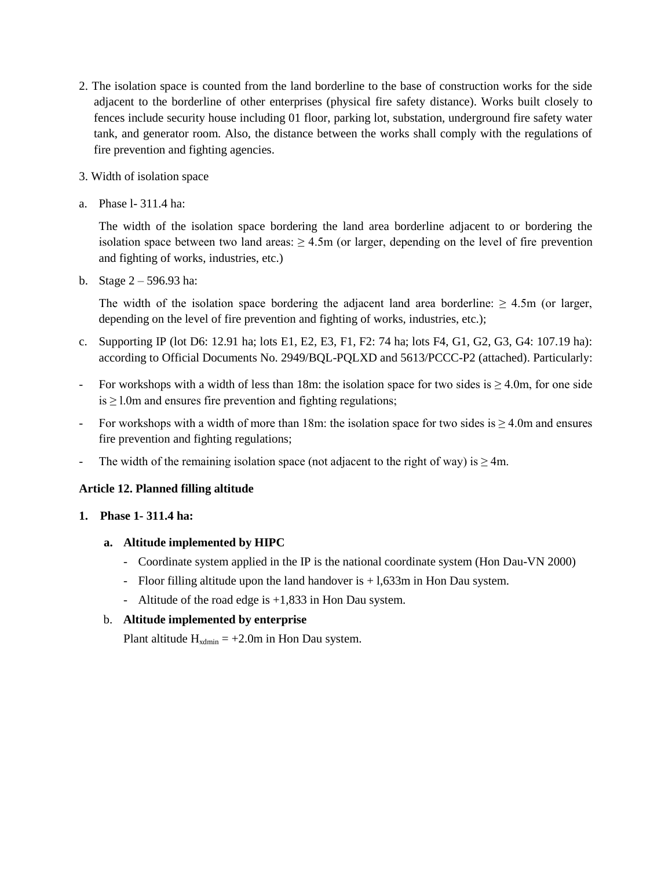- 2. The isolation space is counted from the land borderline to the base of construction works for the side adjacent to the borderline of other enterprises (physical fire safety distance). Works built closely to fences include security house including 01 floor, parking lot, substation, underground fire safety water tank, and generator room. Also, the distance between the works shall comply with the regulations of fire prevention and fighting agencies.
- 3. Width of isolation space
- a. Phase l- 311.4 ha:

The width of the isolation space bordering the land area borderline adjacent to or bordering the isolation space between two land areas:  $\geq 4.5$ m (or larger, depending on the level of fire prevention and fighting of works, industries, etc.)

b. Stage 2 – 596.93 ha:

The width of the isolation space bordering the adjacent land area borderline:  $\geq 4.5$ m (or larger, depending on the level of fire prevention and fighting of works, industries, etc.);

- c. Supporting IP (lot D6: 12.91 ha; lots E1, E2, E3, F1, F2: 74 ha; lots F4, G1, G2, G3, G4: 107.19 ha): according to Official Documents No. 2949/BQL-PQLXD and 5613/PCCC-P2 (attached). Particularly:
- For workshops with a width of less than 18m: the isolation space for two sides is  $\geq 4.0$ m, for one side  $is \geq 1.0$ m and ensures fire prevention and fighting regulations;
- For workshops with a width of more than 18m: the isolation space for two sides is  $\geq 4.0$ m and ensures fire prevention and fighting regulations;
- The width of the remaining isolation space (not adjacent to the right of way) is  $\geq 4$ m.

## **Article 12. Planned filling altitude**

### **1. Phase 1- 311.4 ha:**

- **a. Altitude implemented by HIPC** 
	- Coordinate system applied in the IP is the national coordinate system (Hon Dau-VN 2000)
	- Floor filling altitude upon the land handover is  $+1,633$ m in Hon Dau system.
	- Altitude of the road edge is +1,833 in Hon Dau system.

## b. **Altitude implemented by enterprise**

Plant altitude  $H_{\text{xdmin}} = +2.0$ m in Hon Dau system.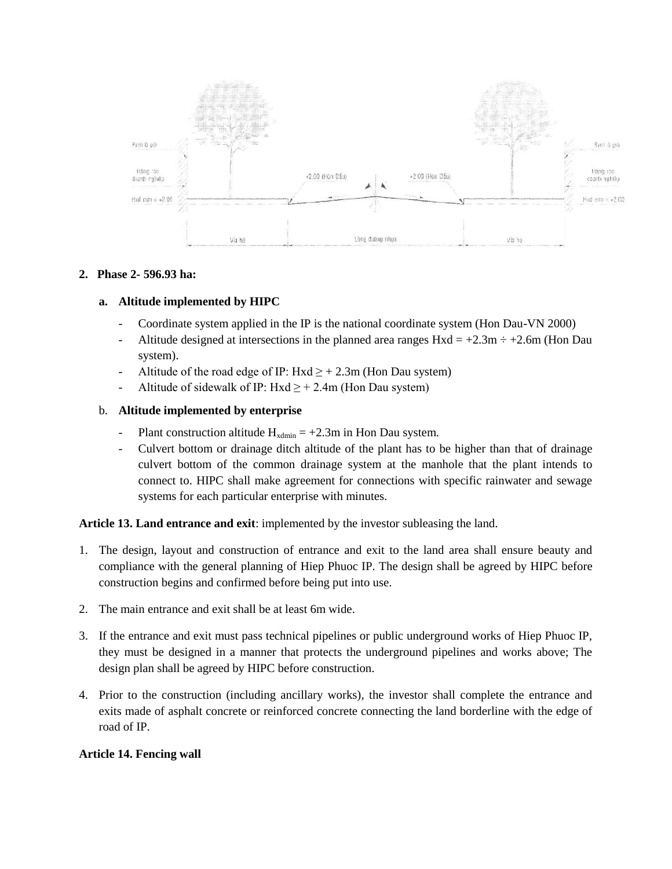

### **2. Phase 2- 596.93 ha:**

### **a. Altitude implemented by HIPC**

- Coordinate system applied in the IP is the national coordinate system (Hon Dau-VN 2000)
- Altitude designed at intersections in the planned area ranges  $Hxd = +2.3m \div +2.6m$  (Hon Dau system).
- Altitude of the road edge of IP:  $Hxd \geq +2.3m$  (Hon Dau system)
- Altitude of sidewalk of IP: Hxd  $\geq$  + 2.4m (Hon Dau system)

#### b. **Altitude implemented by enterprise**

- Plant construction altitude  $H_{\text{xdmin}} = +2.3$ m in Hon Dau system.
- Culvert bottom or drainage ditch altitude of the plant has to be higher than that of drainage culvert bottom of the common drainage system at the manhole that the plant intends to connect to. HIPC shall make agreement for connections with specific rainwater and sewage systems for each particular enterprise with minutes.

#### **Article 13. Land entrance and exit**: implemented by the investor subleasing the land.

- 1. The design, layout and construction of entrance and exit to the land area shall ensure beauty and compliance with the general planning of Hiep Phuoc IP. The design shall be agreed by HIPC before construction begins and confirmed before being put into use.
- 2. The main entrance and exit shall be at least 6m wide.
- 3. If the entrance and exit must pass technical pipelines or public underground works of Hiep Phuoc IP, they must be designed in a manner that protects the underground pipelines and works above; The design plan shall be agreed by HIPC before construction.
- 4. Prior to the construction (including ancillary works), the investor shall complete the entrance and exits made of asphalt concrete or reinforced concrete connecting the land borderline with the edge of road of IP.

### **Article 14. Fencing wall**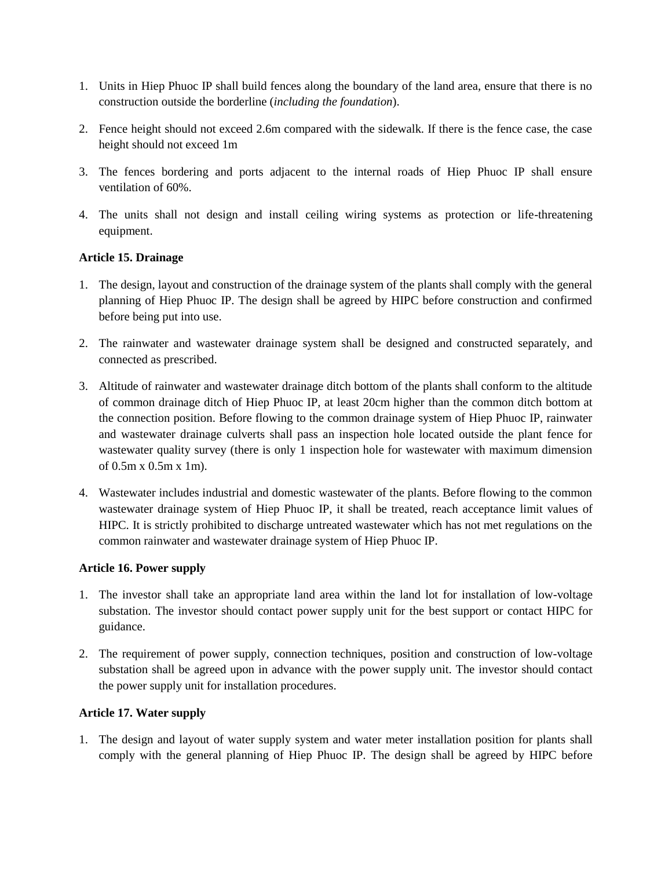- 1. Units in Hiep Phuoc IP shall build fences along the boundary of the land area, ensure that there is no construction outside the borderline (*including the foundation*).
- 2. Fence height should not exceed 2.6m compared with the sidewalk. If there is the fence case, the case height should not exceed 1m
- 3. The fences bordering and ports adjacent to the internal roads of Hiep Phuoc IP shall ensure ventilation of 60%.
- 4. The units shall not design and install ceiling wiring systems as protection or life-threatening equipment.

### **Article 15. Drainage**

- 1. The design, layout and construction of the drainage system of the plants shall comply with the general planning of Hiep Phuoc IP. The design shall be agreed by HIPC before construction and confirmed before being put into use.
- 2. The rainwater and wastewater drainage system shall be designed and constructed separately, and connected as prescribed.
- 3. Altitude of rainwater and wastewater drainage ditch bottom of the plants shall conform to the altitude of common drainage ditch of Hiep Phuoc IP, at least 20cm higher than the common ditch bottom at the connection position. Before flowing to the common drainage system of Hiep Phuoc IP, rainwater and wastewater drainage culverts shall pass an inspection hole located outside the plant fence for wastewater quality survey (there is only 1 inspection hole for wastewater with maximum dimension of 0.5m x 0.5m x 1m).
- 4. Wastewater includes industrial and domestic wastewater of the plants. Before flowing to the common wastewater drainage system of Hiep Phuoc IP, it shall be treated, reach acceptance limit values of HIPC. It is strictly prohibited to discharge untreated wastewater which has not met regulations on the common rainwater and wastewater drainage system of Hiep Phuoc IP.

### **Article 16. Power supply**

- 1. The investor shall take an appropriate land area within the land lot for installation of low-voltage substation. The investor should contact power supply unit for the best support or contact HIPC for guidance.
- 2. The requirement of power supply, connection techniques, position and construction of low-voltage substation shall be agreed upon in advance with the power supply unit. The investor should contact the power supply unit for installation procedures.

## **Article 17. Water supply**

1. The design and layout of water supply system and water meter installation position for plants shall comply with the general planning of Hiep Phuoc IP. The design shall be agreed by HIPC before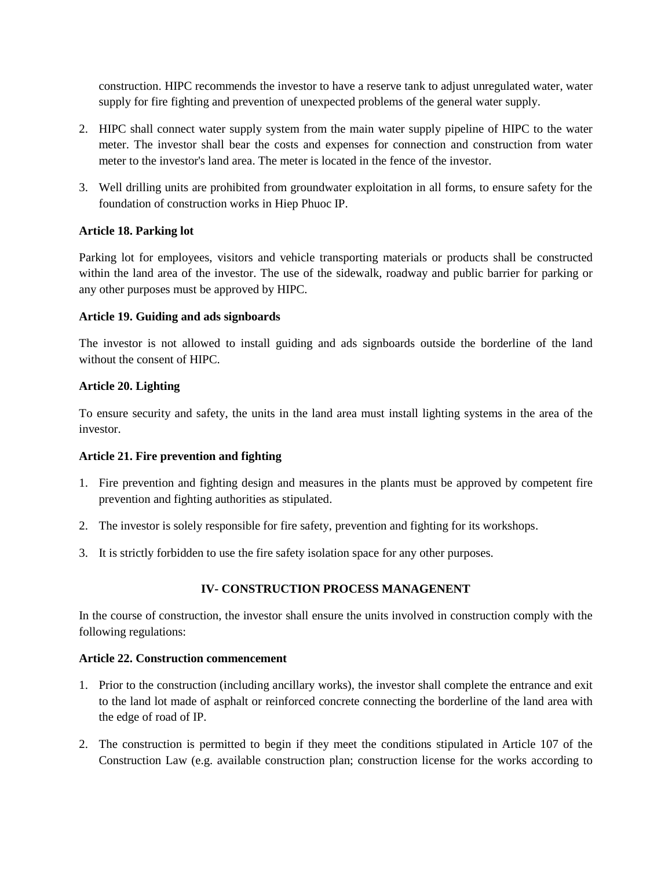construction. HIPC recommends the investor to have a reserve tank to adjust unregulated water, water supply for fire fighting and prevention of unexpected problems of the general water supply.

- 2. HIPC shall connect water supply system from the main water supply pipeline of HIPC to the water meter. The investor shall bear the costs and expenses for connection and construction from water meter to the investor's land area. The meter is located in the fence of the investor.
- 3. Well drilling units are prohibited from groundwater exploitation in all forms, to ensure safety for the foundation of construction works in Hiep Phuoc IP.

## **Article 18. Parking lot**

Parking lot for employees, visitors and vehicle transporting materials or products shall be constructed within the land area of the investor. The use of the sidewalk, roadway and public barrier for parking or any other purposes must be approved by HIPC.

## **Article 19. Guiding and ads signboards**

The investor is not allowed to install guiding and ads signboards outside the borderline of the land without the consent of HIPC.

## **Article 20. Lighting**

To ensure security and safety, the units in the land area must install lighting systems in the area of the investor.

### **Article 21. Fire prevention and fighting**

- 1. Fire prevention and fighting design and measures in the plants must be approved by competent fire prevention and fighting authorities as stipulated.
- 2. The investor is solely responsible for fire safety, prevention and fighting for its workshops.
- 3. It is strictly forbidden to use the fire safety isolation space for any other purposes.

## **IV- CONSTRUCTION PROCESS MANAGENENT**

In the course of construction, the investor shall ensure the units involved in construction comply with the following regulations:

### **Article 22. Construction commencement**

- 1. Prior to the construction (including ancillary works), the investor shall complete the entrance and exit to the land lot made of asphalt or reinforced concrete connecting the borderline of the land area with the edge of road of IP.
- 2. The construction is permitted to begin if they meet the conditions stipulated in Article 107 of the Construction Law (e.g. available construction plan; construction license for the works according to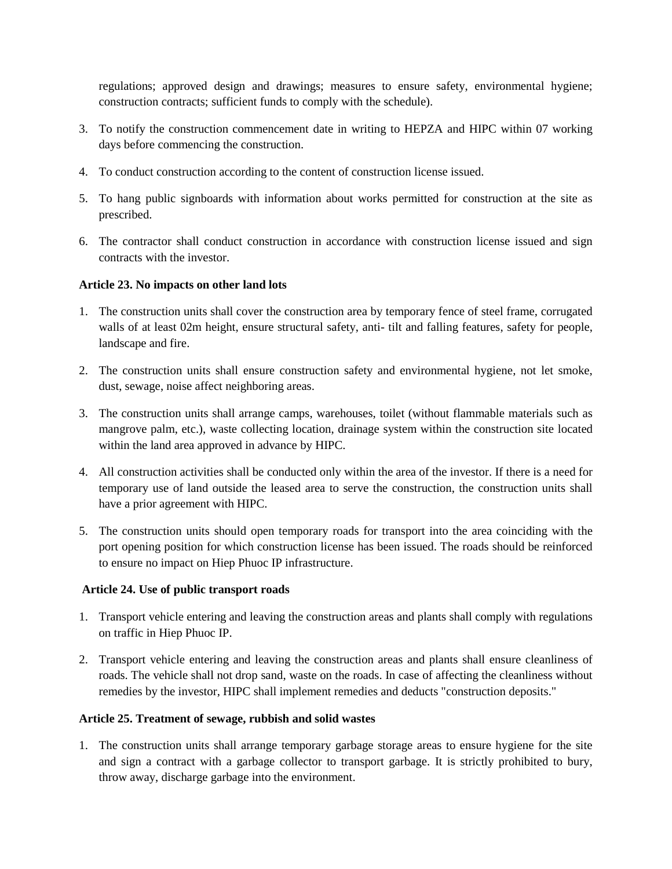regulations; approved design and drawings; measures to ensure safety, environmental hygiene; construction contracts; sufficient funds to comply with the schedule).

- 3. To notify the construction commencement date in writing to HEPZA and HIPC within 07 working days before commencing the construction.
- 4. To conduct construction according to the content of construction license issued.
- 5. To hang public signboards with information about works permitted for construction at the site as prescribed.
- 6. The contractor shall conduct construction in accordance with construction license issued and sign contracts with the investor.

### **Article 23. No impacts on other land lots**

- 1. The construction units shall cover the construction area by temporary fence of steel frame, corrugated walls of at least 02m height, ensure structural safety, anti- tilt and falling features, safety for people, landscape and fire.
- 2. The construction units shall ensure construction safety and environmental hygiene, not let smoke, dust, sewage, noise affect neighboring areas.
- 3. The construction units shall arrange camps, warehouses, toilet (without flammable materials such as mangrove palm, etc.), waste collecting location, drainage system within the construction site located within the land area approved in advance by HIPC.
- 4. All construction activities shall be conducted only within the area of the investor. If there is a need for temporary use of land outside the leased area to serve the construction, the construction units shall have a prior agreement with HIPC.
- 5. The construction units should open temporary roads for transport into the area coinciding with the port opening position for which construction license has been issued. The roads should be reinforced to ensure no impact on Hiep Phuoc IP infrastructure.

### **Article 24. Use of public transport roads**

- 1. Transport vehicle entering and leaving the construction areas and plants shall comply with regulations on traffic in Hiep Phuoc IP.
- 2. Transport vehicle entering and leaving the construction areas and plants shall ensure cleanliness of roads. The vehicle shall not drop sand, waste on the roads. In case of affecting the cleanliness without remedies by the investor, HIPC shall implement remedies and deducts "construction deposits."

## **Article 25. Treatment of sewage, rubbish and solid wastes**

1. The construction units shall arrange temporary garbage storage areas to ensure hygiene for the site and sign a contract with a garbage collector to transport garbage. It is strictly prohibited to bury, throw away, discharge garbage into the environment.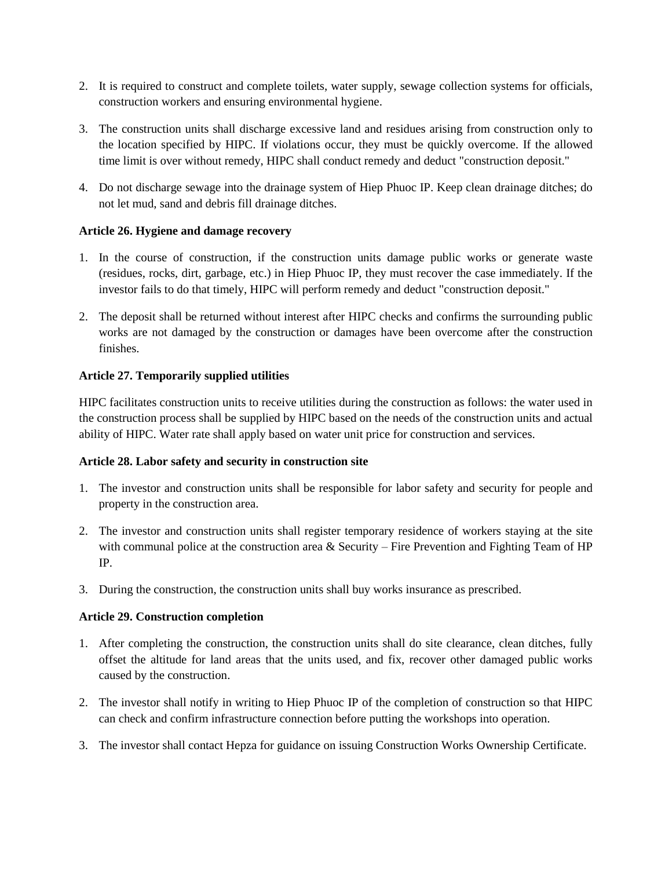- 2. It is required to construct and complete toilets, water supply, sewage collection systems for officials, construction workers and ensuring environmental hygiene.
- 3. The construction units shall discharge excessive land and residues arising from construction only to the location specified by HIPC. If violations occur, they must be quickly overcome. If the allowed time limit is over without remedy, HIPC shall conduct remedy and deduct "construction deposit."
- 4. Do not discharge sewage into the drainage system of Hiep Phuoc IP. Keep clean drainage ditches; do not let mud, sand and debris fill drainage ditches.

## **Article 26. Hygiene and damage recovery**

- 1. In the course of construction, if the construction units damage public works or generate waste (residues, rocks, dirt, garbage, etc.) in Hiep Phuoc IP, they must recover the case immediately. If the investor fails to do that timely, HIPC will perform remedy and deduct "construction deposit."
- 2. The deposit shall be returned without interest after HIPC checks and confirms the surrounding public works are not damaged by the construction or damages have been overcome after the construction finishes.

## **Article 27. Temporarily supplied utilities**

HIPC facilitates construction units to receive utilities during the construction as follows: the water used in the construction process shall be supplied by HIPC based on the needs of the construction units and actual ability of HIPC. Water rate shall apply based on water unit price for construction and services.

## **Article 28. Labor safety and security in construction site**

- 1. The investor and construction units shall be responsible for labor safety and security for people and property in the construction area.
- 2. The investor and construction units shall register temporary residence of workers staying at the site with communal police at the construction area & Security – Fire Prevention and Fighting Team of HP IP.
- 3. During the construction, the construction units shall buy works insurance as prescribed.

### **Article 29. Construction completion**

- 1. After completing the construction, the construction units shall do site clearance, clean ditches, fully offset the altitude for land areas that the units used, and fix, recover other damaged public works caused by the construction.
- 2. The investor shall notify in writing to Hiep Phuoc IP of the completion of construction so that HIPC can check and confirm infrastructure connection before putting the workshops into operation.
- 3. The investor shall contact Hepza for guidance on issuing Construction Works Ownership Certificate.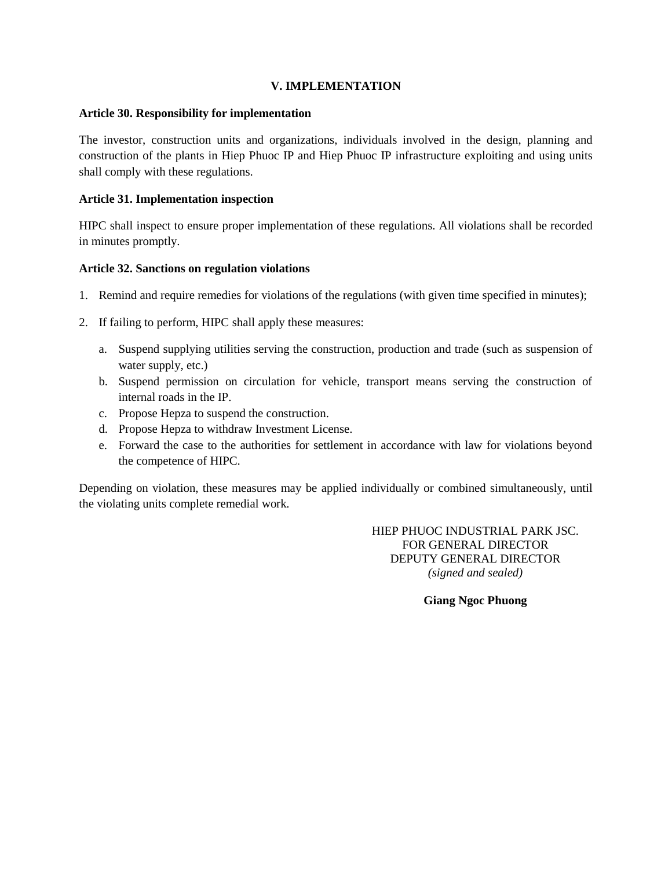#### **V. IMPLEMENTATION**

#### **Article 30. Responsibility for implementation**

The investor, construction units and organizations, individuals involved in the design, planning and construction of the plants in Hiep Phuoc IP and Hiep Phuoc IP infrastructure exploiting and using units shall comply with these regulations.

### **Article 31. Implementation inspection**

HIPC shall inspect to ensure proper implementation of these regulations. All violations shall be recorded in minutes promptly.

## **Article 32. Sanctions on regulation violations**

- 1. Remind and require remedies for violations of the regulations (with given time specified in minutes);
- 2. If failing to perform, HIPC shall apply these measures:
	- a. Suspend supplying utilities serving the construction, production and trade (such as suspension of water supply, etc.)
	- b. Suspend permission on circulation for vehicle, transport means serving the construction of internal roads in the IP.
	- c. Propose Hepza to suspend the construction.
	- d. Propose Hepza to withdraw Investment License.
	- e. Forward the case to the authorities for settlement in accordance with law for violations beyond the competence of HIPC.

Depending on violation, these measures may be applied individually or combined simultaneously, until the violating units complete remedial work.

> HIEP PHUOC INDUSTRIAL PARK JSC. FOR GENERAL DIRECTOR DEPUTY GENERAL DIRECTOR *(signed and sealed)*

> > **Giang Ngoc Phuong**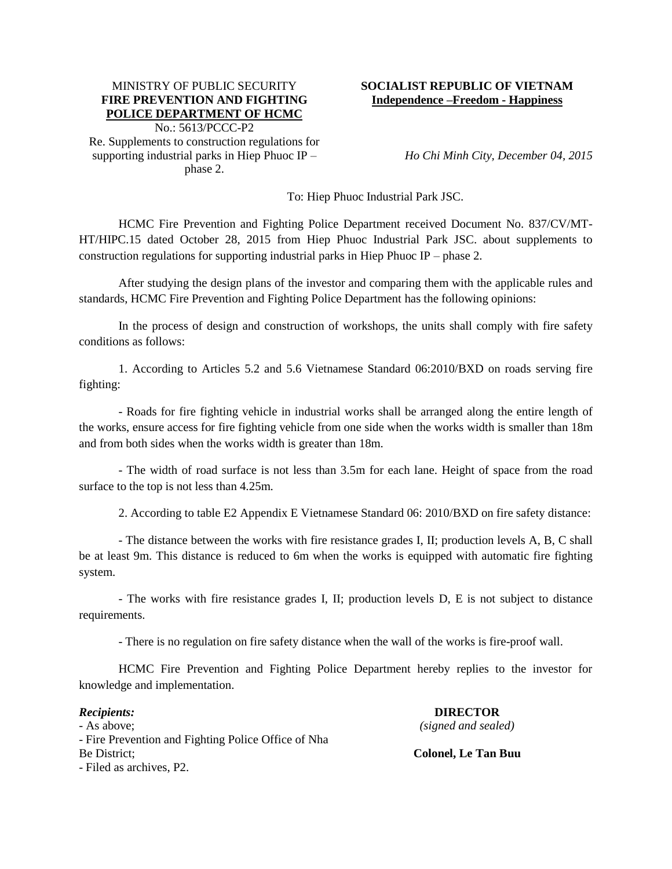#### MINISTRY OF PUBLIC SECURITY **FIRE PREVENTION AND FIGHTING POLICE DEPARTMENT OF HCMC**

No.: 5613/PCCC-P2 Re. Supplements to construction regulations for supporting industrial parks in Hiep Phuoc IP – phase 2.

### **SOCIALIST REPUBLIC OF VIETNAM Independence –Freedom - Happiness**

*Ho Chi Minh City, December 04, 2015*

To: Hiep Phuoc Industrial Park JSC.

HCMC Fire Prevention and Fighting Police Department received Document No. 837/CV/MT-HT/HIPC.15 dated October 28, 2015 from Hiep Phuoc Industrial Park JSC. about supplements to construction regulations for supporting industrial parks in Hiep Phuoc IP – phase 2.

After studying the design plans of the investor and comparing them with the applicable rules and standards, HCMC Fire Prevention and Fighting Police Department has the following opinions:

In the process of design and construction of workshops, the units shall comply with fire safety conditions as follows:

1. According to Articles 5.2 and 5.6 Vietnamese Standard 06:2010/BXD on roads serving fire fighting:

- Roads for fire fighting vehicle in industrial works shall be arranged along the entire length of the works, ensure access for fire fighting vehicle from one side when the works width is smaller than 18m and from both sides when the works width is greater than 18m.

- The width of road surface is not less than 3.5m for each lane. Height of space from the road surface to the top is not less than 4.25m.

2. According to table E2 Appendix E Vietnamese Standard 06: 2010/BXD on fire safety distance:

- The distance between the works with fire resistance grades I, II; production levels A, B, C shall be at least 9m. This distance is reduced to 6m when the works is equipped with automatic fire fighting system.

- The works with fire resistance grades I, II; production levels D, E is not subject to distance requirements.

- There is no regulation on fire safety distance when the wall of the works is fire-proof wall.

HCMC Fire Prevention and Fighting Police Department hereby replies to the investor for knowledge and implementation.

*Recipients:* - As above; - Fire Prevention and Fighting Police Office of Nha Be District; - Filed as archives, P2.

**DIRECTOR** *(signed and sealed)*

**Colonel, Le Tan Buu**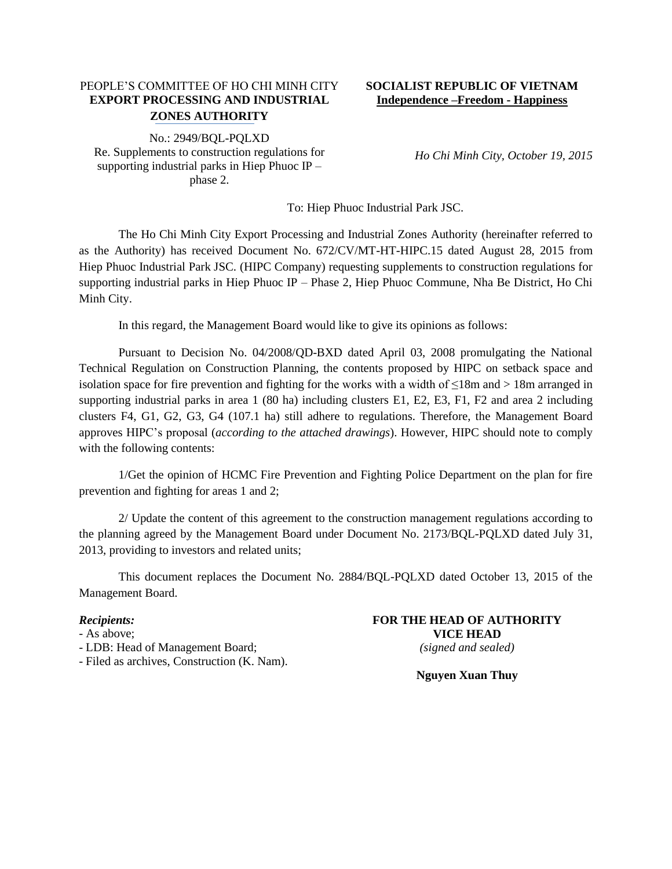## PEOPLE'S COMMITTEE OF HO CHI MINH CITY **EXPORT PROCESSING AND INDUSTRIAL ZONES AUTHORITY**

No.: 2949/BQL-PQLXD Re. Supplements to construction regulations for supporting industrial parks in Hiep Phuoc IP – phase 2.

### **SOCIALIST REPUBLIC OF VIETNAM Independence –Freedom - Happiness**

*Ho Chi Minh City, October 19, 2015*

To: Hiep Phuoc Industrial Park JSC.

The Ho Chi Minh City Export Processing and Industrial Zones Authority (hereinafter referred to as the Authority) has received Document No. 672/CV/MT-HT-HIPC.15 dated August 28, 2015 from Hiep Phuoc Industrial Park JSC. (HIPC Company) requesting supplements to construction regulations for supporting industrial parks in Hiep Phuoc IP – Phase 2, Hiep Phuoc Commune, Nha Be District, Ho Chi Minh City.

In this regard, the Management Board would like to give its opinions as follows:

Pursuant to Decision No. 04/2008/QD-BXD dated April 03, 2008 promulgating the National Technical Regulation on Construction Planning, the contents proposed by HIPC on setback space and isolation space for fire prevention and fighting for the works with a width of  $\leq 18$ m and > 18m arranged in supporting industrial parks in area 1 (80 ha) including clusters E1, E2, E3, F1, F2 and area 2 including clusters F4, G1, G2, G3, G4 (107.1 ha) still adhere to regulations. Therefore, the Management Board approves HIPC's proposal (*according to the attached drawings*). However, HIPC should note to comply with the following contents:

1/Get the opinion of HCMC Fire Prevention and Fighting Police Department on the plan for fire prevention and fighting for areas 1 and 2;

2/ Update the content of this agreement to the construction management regulations according to the planning agreed by the Management Board under Document No. 2173/BQL-PQLXD dated July 31, 2013, providing to investors and related units;

This document replaces the Document No. 2884/BQL-PQLXD dated October 13, 2015 of the Management Board.

#### *Recipients:*

- As above;

- LDB: Head of Management Board;
- Filed as archives, Construction (K. Nam).

#### **FOR THE HEAD OF AUTHORITY VICE HEAD** *(signed and sealed)*

**Nguyen Xuan Thuy**